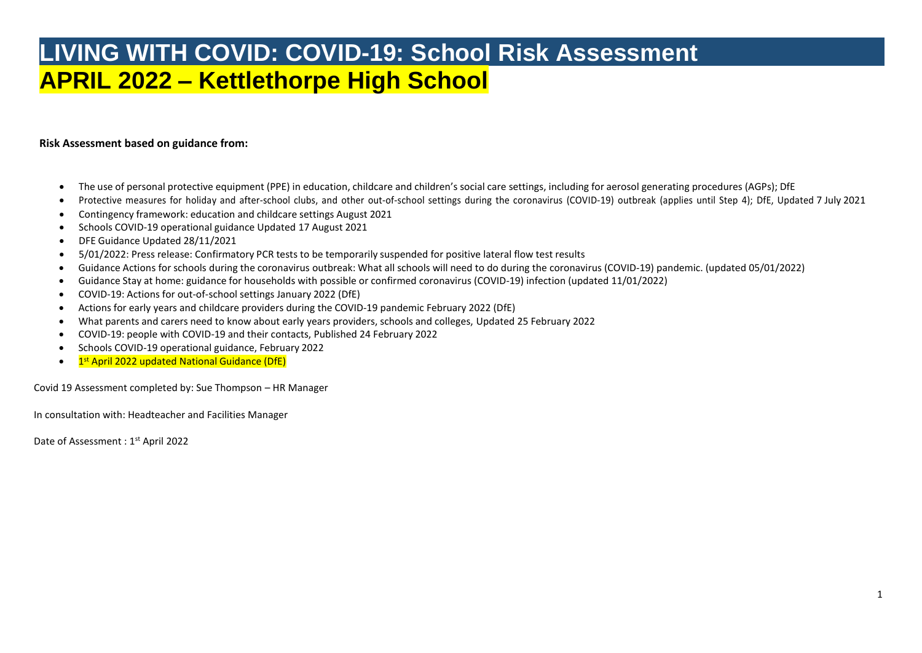## **LIVING WITH COVID: COVID-19: School Risk Assessment APRIL 2022 – Kettlethorpe High School**

## **Risk Assessment based on guidance from:**

- The use of personal protective equipment (PPE) in education, childcare and children's social care settings, including for aerosol generating procedures (AGPs); DfE
- Protective measures for holiday and after-school clubs, and other out-of-school settings during the coronavirus (COVID-19) outbreak (applies until Step 4); DfE, Updated 7 July 2021
- Contingency framework: education and childcare settings August 2021
- Schools COVID-19 operational guidance Updated 17 August 2021
- DFE Guidance Updated 28/11/2021
- 5/01/2022: Press release: Confirmatory PCR tests to be temporarily suspended for positive lateral flow test results
- Guidance Actions for schools during the coronavirus outbreak: What all schools will need to do during the coronavirus (COVID-19) pandemic. (updated 05/01/2022)
- Guidance Stay at home: guidance for households with possible or confirmed coronavirus (COVID-19) infection (updated 11/01/2022)
- COVID-19: Actions for out-of-school settings January 2022 (DfE)
- Actions for early years and childcare providers during the COVID-19 pandemic February 2022 (DfE)
- What parents and carers need to know about early years providers, schools and colleges, Updated 25 February 2022
- COVID-19: people with COVID-19 and their contacts, Published 24 February 2022
- Schools COVID-19 operational guidance, February 2022
- 1st April 2022 updated National Guidance (DfE)

Covid 19 Assessment completed by: Sue Thompson – HR Manager

In consultation with: Headteacher and Facilities Manager

Date of Assessment : 1<sup>st</sup> April 2022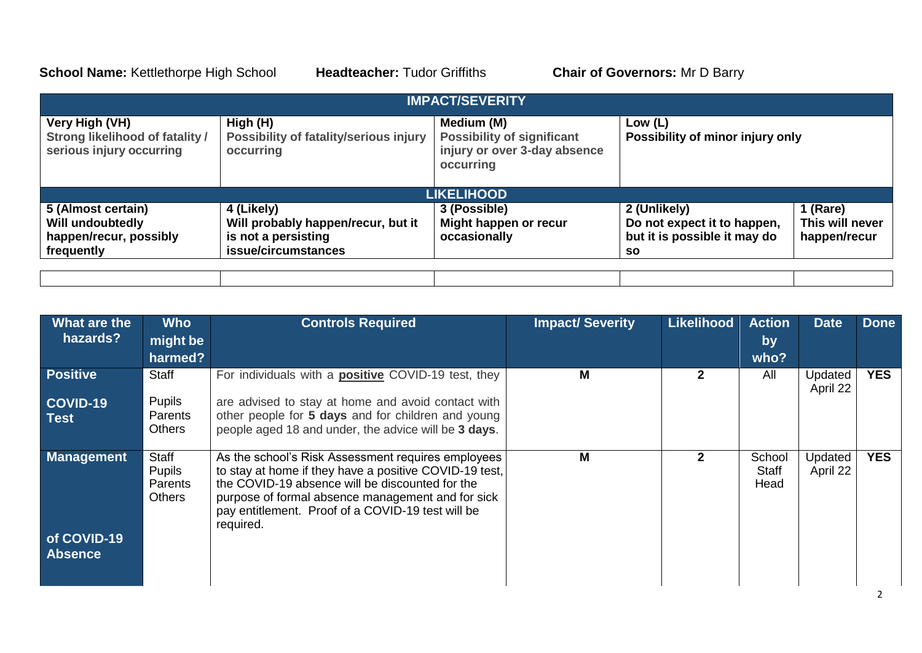**School Name:** Kettlethorpe High School **Headteacher:** Tudor Griffiths **Chair of Governors:** Mr D Barry

2

|                                                                                      |                                                                 | <b>IMPACT/SEVERITY</b>                                                                       |                                             |                 |
|--------------------------------------------------------------------------------------|-----------------------------------------------------------------|----------------------------------------------------------------------------------------------|---------------------------------------------|-----------------|
| Very High (VH)<br><b>Strong likelihood of fatality /</b><br>serious injury occurring | High (H)<br>Possibility of fatality/serious injury<br>occurring | Medium (M)<br><b>Possibility of significant</b><br>injury or over 3-day absence<br>occurring | Low (L)<br>Possibility of minor injury only |                 |
|                                                                                      |                                                                 | <b>LIKELIHOOD</b>                                                                            |                                             |                 |
| 5 (Almost certain)                                                                   | 4 (Likely)                                                      | 3 (Possible)                                                                                 | 2 (Unlikely)                                | 1 (Rare)        |
| <b>Will undoubtedly</b>                                                              | Will probably happen/recur, but it                              | Might happen or recur                                                                        | Do not expect it to happen,                 | This will never |
| happen/recur, possibly                                                               | is not a persisting                                             | occasionally                                                                                 | but it is possible it may do                | happen/recur    |
| frequently                                                                           | issue/circumstances                                             |                                                                                              | <b>SO</b>                                   |                 |
|                                                                                      |                                                                 |                                                                                              |                                             |                 |

| What are the<br>hazards?                   | <b>Who</b><br>might be<br>harmed?                  | <b>Controls Required</b>                                                                                                                                                                                                                                                               | <b>Impact/Severity</b> | <b>Likelihood</b> | <b>Action</b><br>by<br>who?    | <b>Date</b>         | <b>Done</b> |
|--------------------------------------------|----------------------------------------------------|----------------------------------------------------------------------------------------------------------------------------------------------------------------------------------------------------------------------------------------------------------------------------------------|------------------------|-------------------|--------------------------------|---------------------|-------------|
| <b>Positive</b><br>COVID-19<br><b>Test</b> | Staff<br><b>Pupils</b><br>Parents<br><b>Others</b> | For individuals with a <b>positive</b> COVID-19 test, they<br>are advised to stay at home and avoid contact with<br>other people for 5 days and for children and young<br>people aged 18 and under, the advice will be 3 days.                                                         | M                      | $\mathbf{2}$      | All                            | Updated<br>April 22 | <b>YES</b>  |
| <b>Management</b>                          | Staff<br><b>Pupils</b><br>Parents<br><b>Others</b> | As the school's Risk Assessment requires employees<br>to stay at home if they have a positive COVID-19 test,<br>the COVID-19 absence will be discounted for the<br>purpose of formal absence management and for sick<br>pay entitlement. Proof of a COVID-19 test will be<br>required. | M                      | $\mathbf{2}$      | School<br><b>Staff</b><br>Head | Updated<br>April 22 | <b>YES</b>  |
| of COVID-19<br><b>Absence</b>              |                                                    |                                                                                                                                                                                                                                                                                        |                        |                   |                                |                     |             |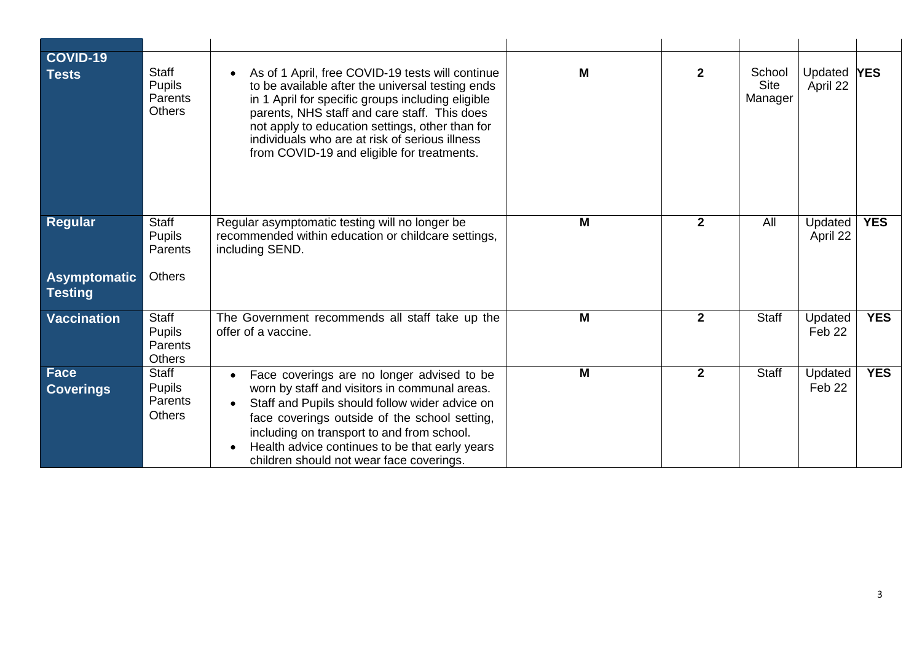| COVID-19<br><b>Tests</b>       | <b>Staff</b><br><b>Pupils</b><br>Parents<br><b>Others</b> | As of 1 April, free COVID-19 tests will continue<br>to be available after the universal testing ends<br>in 1 April for specific groups including eligible<br>parents, NHS staff and care staff. This does<br>not apply to education settings, other than for<br>individuals who are at risk of serious illness<br>from COVID-19 and eligible for treatments. | M              | $\mathbf{2}$   | School<br><b>Site</b><br>Manager | Updated <b>YES</b><br>April 22 |            |
|--------------------------------|-----------------------------------------------------------|--------------------------------------------------------------------------------------------------------------------------------------------------------------------------------------------------------------------------------------------------------------------------------------------------------------------------------------------------------------|----------------|----------------|----------------------------------|--------------------------------|------------|
| Regular                        | Staff<br><b>Pupils</b><br>Parents<br><b>Others</b>        | Regular asymptomatic testing will no longer be<br>recommended within education or childcare settings,<br>including SEND.                                                                                                                                                                                                                                     | M              | $\mathbf{2}$   | All                              | Updated<br>April 22            | <b>YES</b> |
| Asymptomatic<br><b>Testing</b> |                                                           |                                                                                                                                                                                                                                                                                                                                                              |                |                |                                  |                                |            |
| <b>Vaccination</b>             | Staff<br><b>Pupils</b><br>Parents<br><b>Others</b>        | The Government recommends all staff take up the<br>offer of a vaccine.                                                                                                                                                                                                                                                                                       | M              | $\overline{2}$ | <b>Staff</b>                     | Updated<br>Feb 22              | <b>YES</b> |
| Face<br><b>Coverings</b>       | Staff<br><b>Pupils</b><br>Parents<br><b>Others</b>        | Face coverings are no longer advised to be<br>worn by staff and visitors in communal areas.<br>Staff and Pupils should follow wider advice on<br>$\bullet$<br>face coverings outside of the school setting,<br>including on transport to and from school.<br>Health advice continues to be that early years<br>children should not wear face coverings.      | $\overline{M}$ | $\overline{2}$ | <b>Staff</b>                     | Updated<br>Feb 22              | <b>YES</b> |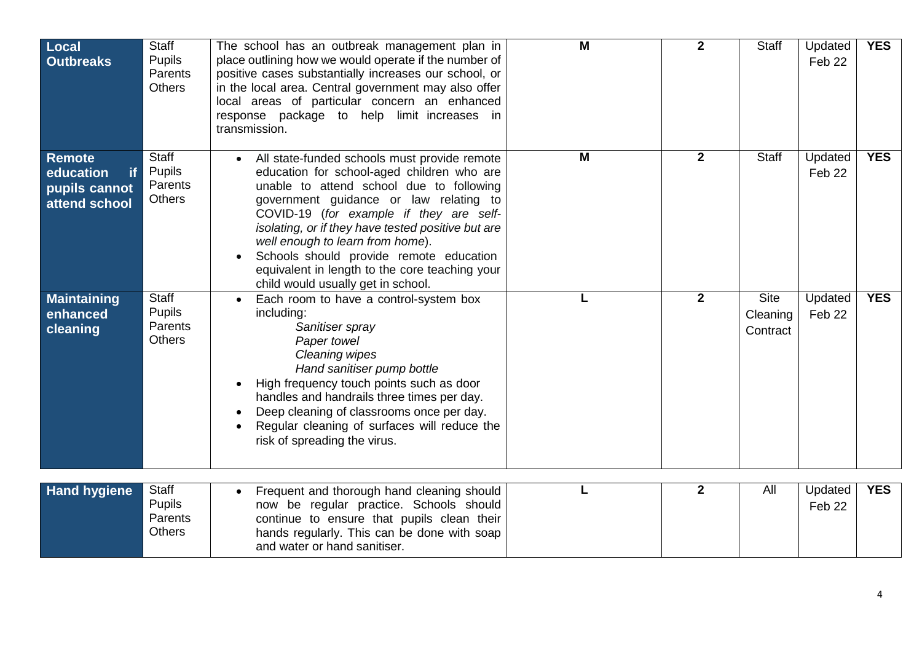| <b>Local</b><br><b>Outbreaks</b>                                          | <b>Staff</b><br><b>Pupils</b><br>Parents<br><b>Others</b> | The school has an outbreak management plan in<br>place outlining how we would operate if the number of<br>positive cases substantially increases our school, or<br>in the local area. Central government may also offer<br>local areas of particular concern an enhanced<br>response package to help limit increases in<br>transmission.                                                                                                                 | M | $\overline{2}$ | <b>Staff</b>                        | Updated<br>Feb 22            | <b>YES</b> |
|---------------------------------------------------------------------------|-----------------------------------------------------------|----------------------------------------------------------------------------------------------------------------------------------------------------------------------------------------------------------------------------------------------------------------------------------------------------------------------------------------------------------------------------------------------------------------------------------------------------------|---|----------------|-------------------------------------|------------------------------|------------|
| <b>Remote</b><br>education<br><b>if</b><br>pupils cannot<br>attend school | Staff<br><b>Pupils</b><br>Parents<br><b>Others</b>        | All state-funded schools must provide remote<br>education for school-aged children who are<br>unable to attend school due to following<br>government guidance or law relating to<br>COVID-19 (for example if they are self-<br>isolating, or if they have tested positive but are<br>well enough to learn from home).<br>Schools should provide remote education<br>equivalent in length to the core teaching your<br>child would usually get in school. | M | $\overline{2}$ | <b>Staff</b>                        | Updated<br>Feb <sub>22</sub> | <b>YES</b> |
| <b>Maintaining</b><br>enhanced<br>cleaning                                | Staff<br>Pupils<br>Parents<br><b>Others</b>               | Each room to have a control-system box<br>including:<br>Sanitiser spray<br>Paper towel<br>Cleaning wipes<br>Hand sanitiser pump bottle<br>High frequency touch points such as door<br>handles and handrails three times per day.<br>Deep cleaning of classrooms once per day.<br>Regular cleaning of surfaces will reduce the<br>risk of spreading the virus.                                                                                            |   | $\overline{2}$ | <b>Site</b><br>Cleaning<br>Contract | Updated<br>Feb 22            | <b>YES</b> |
| <b>Hand hygiene</b>                                                       | Staff<br><b>Pupils</b><br>Parents<br><b>Others</b>        | Frequent and thorough hand cleaning should<br>now be regular practice. Schools should<br>continue to ensure that pupils clean their<br>hands regularly. This can be done with soap<br>and water or hand sanitiser.                                                                                                                                                                                                                                       |   | $\overline{2}$ | All                                 | Updated<br>Feb 22            | <b>YES</b> |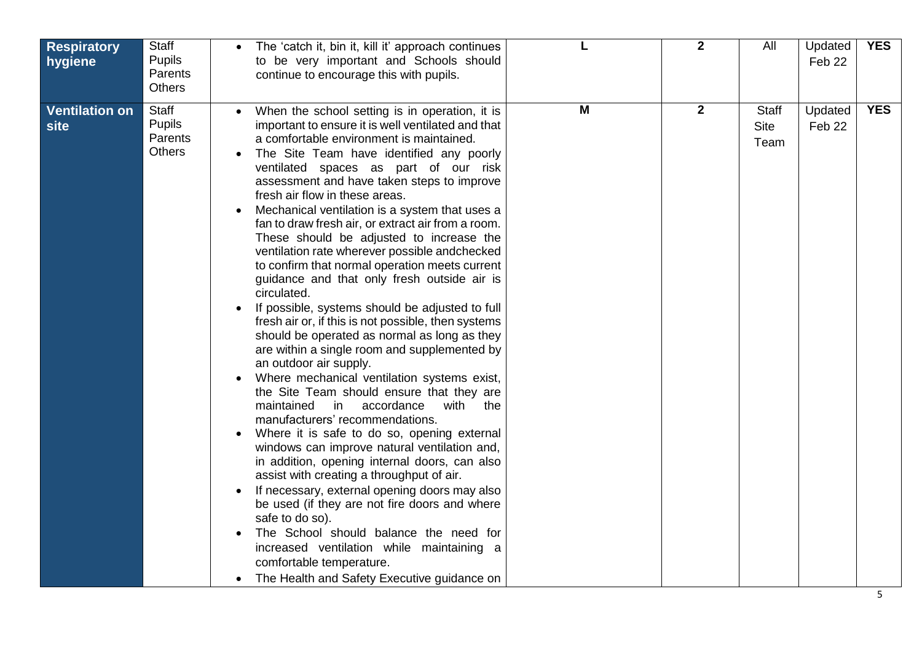| Parents<br>continue to encourage this with pupils.<br><b>Others</b>                                                                                                                                                                                                                                                                                                                                                                                                                                                                                                                                                                                                                                                                                                                                                                                                                                                                                                                                                                                                                                                                                                                                                                                                                                                                                                                                                                                                                                                                                                                                                                                                                                                                  |            |
|--------------------------------------------------------------------------------------------------------------------------------------------------------------------------------------------------------------------------------------------------------------------------------------------------------------------------------------------------------------------------------------------------------------------------------------------------------------------------------------------------------------------------------------------------------------------------------------------------------------------------------------------------------------------------------------------------------------------------------------------------------------------------------------------------------------------------------------------------------------------------------------------------------------------------------------------------------------------------------------------------------------------------------------------------------------------------------------------------------------------------------------------------------------------------------------------------------------------------------------------------------------------------------------------------------------------------------------------------------------------------------------------------------------------------------------------------------------------------------------------------------------------------------------------------------------------------------------------------------------------------------------------------------------------------------------------------------------------------------------|------------|
| M<br>$\overline{2}$<br><b>Ventilation on</b><br><b>Staff</b><br><b>Staff</b><br>Updated<br>When the school setting is in operation, it is<br><b>Pupils</b><br>important to ensure it is well ventilated and that<br><b>Site</b><br>Feb 22<br>site<br>Parents<br>a comfortable environment is maintained.<br>Team<br><b>Others</b><br>The Site Team have identified any poorly<br>ventilated spaces as part of our risk<br>assessment and have taken steps to improve<br>fresh air flow in these areas.<br>Mechanical ventilation is a system that uses a<br>fan to draw fresh air, or extract air from a room.<br>These should be adjusted to increase the<br>ventilation rate wherever possible andchecked<br>to confirm that normal operation meets current<br>guidance and that only fresh outside air is<br>circulated.<br>If possible, systems should be adjusted to full<br>fresh air or, if this is not possible, then systems<br>should be operated as normal as long as they<br>are within a single room and supplemented by<br>an outdoor air supply.<br>Where mechanical ventilation systems exist,<br>the Site Team should ensure that they are<br>maintained<br>with<br>in.<br>accordance<br>the<br>manufacturers' recommendations.<br>Where it is safe to do so, opening external<br>windows can improve natural ventilation and,<br>in addition, opening internal doors, can also<br>assist with creating a throughput of air.<br>If necessary, external opening doors may also<br>be used (if they are not fire doors and where<br>safe to do so).<br>The School should balance the need for<br>increased ventilation while maintaining a<br>comfortable temperature.<br>The Health and Safety Executive guidance on | <b>YES</b> |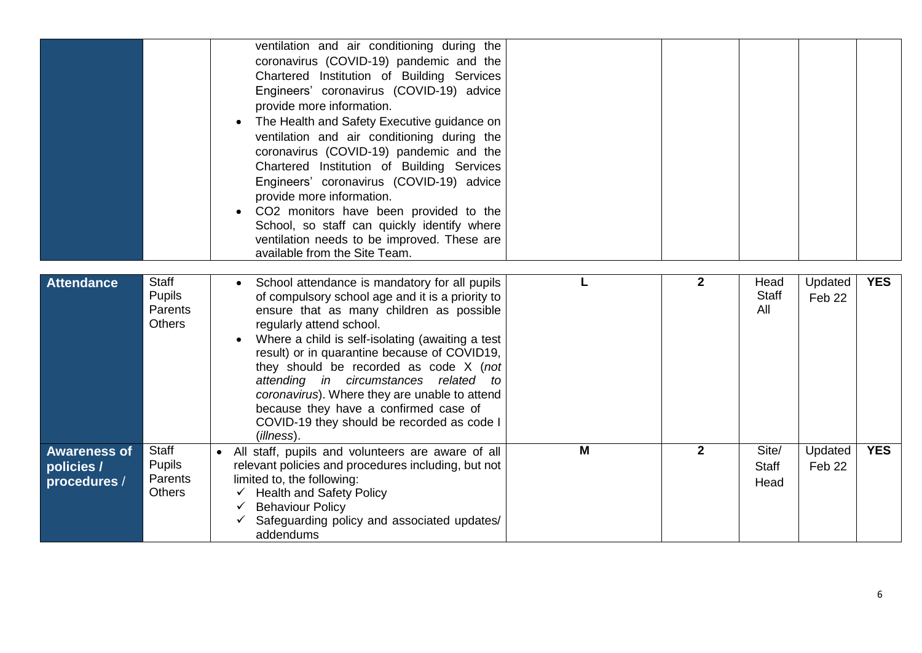|                                                   |                                                           | ventilation and air conditioning during the<br>coronavirus (COVID-19) pandemic and the<br>Chartered Institution of Building Services<br>Engineers' coronavirus (COVID-19) advice<br>provide more information.<br>The Health and Safety Executive guidance on<br>ventilation and air conditioning during the<br>coronavirus (COVID-19) pandemic and the<br>Chartered Institution of Building Services<br>Engineers' coronavirus (COVID-19) advice<br>provide more information.<br>CO2 monitors have been provided to the<br>School, so staff can quickly identify where<br>ventilation needs to be improved. These are<br>available from the Site Team. |   |              |                               |                              |            |
|---------------------------------------------------|-----------------------------------------------------------|--------------------------------------------------------------------------------------------------------------------------------------------------------------------------------------------------------------------------------------------------------------------------------------------------------------------------------------------------------------------------------------------------------------------------------------------------------------------------------------------------------------------------------------------------------------------------------------------------------------------------------------------------------|---|--------------|-------------------------------|------------------------------|------------|
| <b>Attendance</b>                                 | <b>Staff</b><br><b>Pupils</b><br>Parents<br><b>Others</b> | School attendance is mandatory for all pupils<br>$\bullet$<br>of compulsory school age and it is a priority to<br>ensure that as many children as possible<br>regularly attend school.<br>Where a child is self-isolating (awaiting a test<br>result) or in quarantine because of COVID19,<br>they should be recorded as code X (not<br>attending in circumstances related to<br>coronavirus). Where they are unable to attend<br>because they have a confirmed case of<br>COVID-19 they should be recorded as code I<br>(illness).                                                                                                                    |   | $\mathbf{2}$ | Head<br><b>Staff</b><br>All   | Updated<br>Feb <sub>22</sub> | <b>YES</b> |
| <b>Awareness of</b><br>policies /<br>procedures / | Staff<br><b>Pupils</b><br>Parents<br><b>Others</b>        | All staff, pupils and volunteers are aware of all<br>relevant policies and procedures including, but not<br>limited to, the following:<br><b>Health and Safety Policy</b><br>✓<br><b>Behaviour Policy</b><br>$\checkmark$<br>Safeguarding policy and associated updates/<br>addendums                                                                                                                                                                                                                                                                                                                                                                  | M | $\mathbf{2}$ | Site/<br><b>Staff</b><br>Head | Updated<br>Feb 22            | <b>YES</b> |